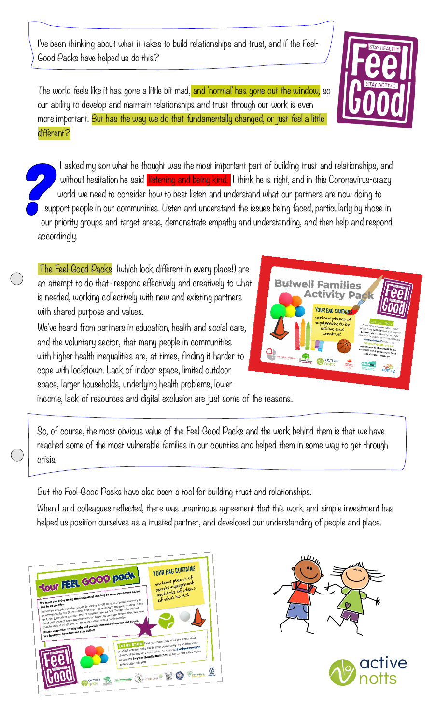I've been thinking about what it takes to build relationships and trust, and if the Feel‑ Good Packs have helped us do this?

The world feels like it has gone a little bit mad, and 'normal' has gone out the window, so our ability to develop and maintain relationships and trust through our work is even more important. But has the way we do that fundamentally changed, or just feel a little different?

I asked my son what he thought was the most important part of building trust and relationships, and without hesitation he said listening and being kind. I think he is right, and in this Coronavirus-crazy world we need to consider how to best listen and understand what our partners are now doing to support people in our communities. Listen and understand the issues being faced, particularly by those in our priority groups and target areas, demonstrate empathy and understanding, and then help and respond accordingly.

 The Feel‑Good Packs (which look different in every place!) are an attempt to do that‑ respond effectively and creatively to what is needed, working collectively with new and existing partners with shared purpose and values.

We've heard from partners in education, health and social care, and the voluntary sector, that many people in communities with higher health inequalities are, at times, finding it harder to cope with lockdown. Lack of indoor space, limited outdoor space, larger households, underlying health problems, lower



income, lack of resources and digital exclusion are just some of the reasons.

So, of course, the most obvious value of the Feel‑Good Packs and the work behind them is that we have reached some of the most vulnerable families in our counties and helped them in some way to get through crisis.

But the Feel‑Good Packs have also been a tool for building trust and relationships.

When I and colleagues reflected, there was unanimous agreement that this work and simple investment has helped us position ourselves as a trusted partner, and developed our understanding of people and place.





**Bulwell Fan**